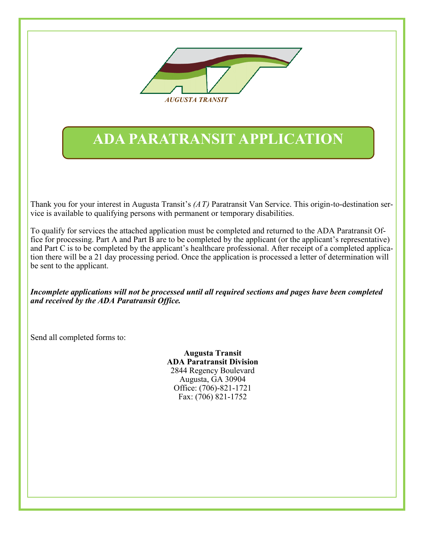

# **ADA PARATRANSIT APPLICATION**

Thank you for your interest in Augusta Transit's *(AT)* Paratransit Van Service. This origin-to-destination service is available to qualifying persons with permanent or temporary disabilities.

To qualify for services the attached application must be completed and returned to the ADA Paratransit Office for processing. Part A and Part B are to be completed by the applicant (or the applicant's representative) and Part C is to be completed by the applicant's healthcare professional. After receipt of a completed application there will be a 21 day processing period. Once the application is processed a letter of determination will be sent to the applicant.

*Incomplete applications will not be processed until all required sections and pages have been completed and received by the ADA Paratransit Office.* 

Send all completed forms to:

**Augusta Transit ADA Paratransit Division** 2844 Regency Boulevard Augusta, GA 30904 Office: (706)-821-1721 Fax: (706) 821-1752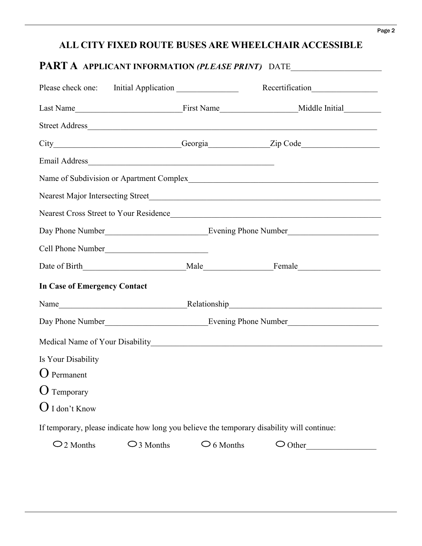## **ALL CITY FIXED ROUTE BUSES ARE WHEELCHAIR ACCESSIBLE**

|                                     |                     |                     | City__________________________Georgia_____________Zip Code______________________           |
|-------------------------------------|---------------------|---------------------|--------------------------------------------------------------------------------------------|
|                                     |                     |                     |                                                                                            |
|                                     |                     |                     |                                                                                            |
|                                     |                     |                     |                                                                                            |
|                                     |                     |                     | Nearest Cross Street to Your Residence                                                     |
|                                     |                     |                     |                                                                                            |
| Cell Phone Number                   |                     |                     |                                                                                            |
|                                     |                     |                     |                                                                                            |
| <b>In Case of Emergency Contact</b> |                     |                     |                                                                                            |
|                                     |                     |                     |                                                                                            |
|                                     |                     |                     |                                                                                            |
|                                     |                     |                     |                                                                                            |
| Is Your Disability                  |                     |                     |                                                                                            |
| $O$ Permanent                       |                     |                     |                                                                                            |
| $\mathbf{O}$ Temporary              |                     |                     |                                                                                            |
| $\bigcup$ I don't Know              |                     |                     |                                                                                            |
|                                     |                     |                     | If temporary, please indicate how long you believe the temporary disability will continue: |
| $\bigcirc$ 2 Months                 | $\bigcirc$ 3 Months | $\bigcirc$ 6 Months | $\bigcirc$ Other                                                                           |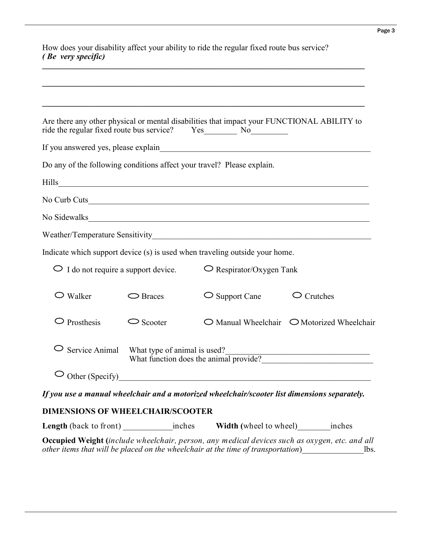| How does your disability affect your ability to ride the regular fixed route bus service? |
|-------------------------------------------------------------------------------------------|
| ( <i>Be very specific</i> )                                                               |
|                                                                                           |

|                                         |                                                                        | Are there any other physical or mental disabilities that impact your FUNCTIONAL ABILITY to    |                                                              |  |
|-----------------------------------------|------------------------------------------------------------------------|-----------------------------------------------------------------------------------------------|--------------------------------------------------------------|--|
|                                         |                                                                        |                                                                                               |                                                              |  |
|                                         |                                                                        | Do any of the following conditions affect your travel? Please explain.                        |                                                              |  |
|                                         |                                                                        |                                                                                               |                                                              |  |
|                                         |                                                                        |                                                                                               |                                                              |  |
|                                         |                                                                        | No Sidewalks                                                                                  |                                                              |  |
|                                         |                                                                        |                                                                                               |                                                              |  |
|                                         |                                                                        | Indicate which support device (s) is used when traveling outside your home.                   |                                                              |  |
| I do not require a support device.      |                                                                        | $\bigcirc$ Respirator/Oxygen Tank                                                             |                                                              |  |
| $\bigcirc$ Walker                       | $\bigcirc$ Braces                                                      | $\bigcirc$ Support Cane                                                                       | $\bigcirc$ Crutches                                          |  |
| $\bigcirc$ Prosthesis                   | $\circ$ Scooter                                                        |                                                                                               | $\bigcirc$ Manual Wheelchair $\bigcirc$ Motorized Wheelchair |  |
| Service Animal                          | What type of animal is used?<br>What function does the animal provide? |                                                                                               |                                                              |  |
| $\circlearrowright$ Other (Specify)     |                                                                        |                                                                                               |                                                              |  |
|                                         |                                                                        | If you use a manual wheelchair and a motorized wheelchair/scooter list dimensions separately. |                                                              |  |
| <b>DIMENSIONS OF WHEELCHAIR/SCOOTER</b> |                                                                        |                                                                                               |                                                              |  |
|                                         |                                                                        |                                                                                               |                                                              |  |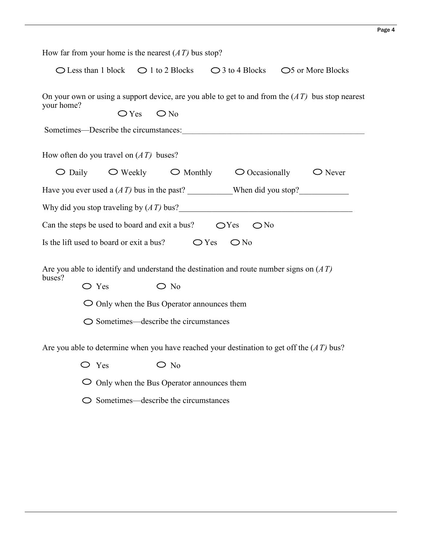|            |                                                   |                                          | How far from your home is the nearest $(AT)$ bus stop?                                                                   |                                                                                                            |  |                                                                                                    |
|------------|---------------------------------------------------|------------------------------------------|--------------------------------------------------------------------------------------------------------------------------|------------------------------------------------------------------------------------------------------------|--|----------------------------------------------------------------------------------------------------|
|            |                                                   |                                          |                                                                                                                          | $\bigcirc$ Less than 1 block $\bigcirc$ 1 to 2 Blocks $\bigcirc$ 3 to 4 Blocks $\bigcirc$ 5 or More Blocks |  |                                                                                                    |
| your home? |                                                   | $O$ Yes $O$ No                           |                                                                                                                          | Sometimes—Describe the circumstances:                                                                      |  | On your own or using a support device, are you able to get to and from the $(AT)$ bus stop nearest |
|            |                                                   | How often do you travel on $(AT)$ buses? |                                                                                                                          |                                                                                                            |  |                                                                                                    |
|            |                                                   |                                          |                                                                                                                          | $\bigcirc$ Daily $\bigcirc$ Weekly $\bigcirc$ Monthly $\bigcirc$ Occasionally $\bigcirc$ Never             |  |                                                                                                    |
|            |                                                   |                                          |                                                                                                                          | Have you ever used a $(AT)$ bus in the past? When did you stop?                                            |  |                                                                                                    |
|            |                                                   |                                          |                                                                                                                          | Why did you stop traveling by $(AT)$ bus?                                                                  |  |                                                                                                    |
|            |                                                   |                                          |                                                                                                                          | Can the steps be used to board and exit a bus? $\bigcirc$ Yes $\bigcirc$ No                                |  |                                                                                                    |
|            |                                                   |                                          |                                                                                                                          | Is the lift used to board or exit a bus? $\bigcirc$ Yes $\bigcirc$ No                                      |  |                                                                                                    |
| buses?     | $\bigcirc$ Yes                                    |                                          | $\bigcirc$ No<br>$\bigcirc$ Only when the Bus Operator announces them<br>$\bigcirc$ Sometimes—describe the circumstances | Are you able to identify and understand the destination and route number signs on $(AT)$                   |  |                                                                                                    |
|            |                                                   |                                          |                                                                                                                          | Are you able to determine when you have reached your destination to get off the $(AT)$ bus?                |  |                                                                                                    |
|            | $\bigcirc$ Yes                                    |                                          | $\bigcirc$ No                                                                                                            |                                                                                                            |  |                                                                                                    |
|            | $\circ$ Only when the Bus Operator announces them |                                          |                                                                                                                          |                                                                                                            |  |                                                                                                    |

 $\bigcirc$  Sometimes—describe the circumstances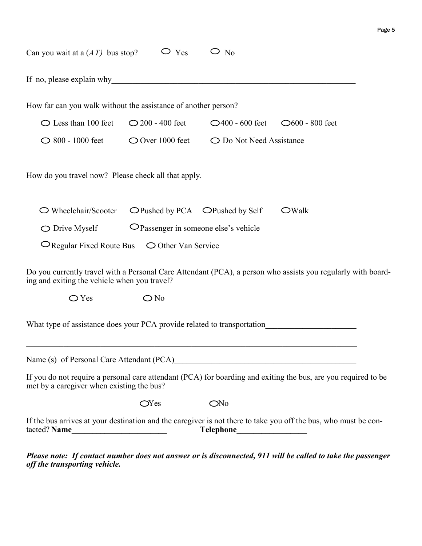| Can you wait at a $(AT)$ bus stop?                                                              | $\bigcirc$ Yes                        | $\circ$ N <sub>0</sub>                              |                                                                                                                 |
|-------------------------------------------------------------------------------------------------|---------------------------------------|-----------------------------------------------------|-----------------------------------------------------------------------------------------------------------------|
| If no, please explain why                                                                       |                                       |                                                     |                                                                                                                 |
| How far can you walk without the assistance of another person?                                  |                                       |                                                     |                                                                                                                 |
| $\bigcirc$ Less than 100 feet                                                                   | $\bigcirc$ 200 - 400 feet             | $\bigcirc$ 400 - 600 feet $\bigcirc$ 600 - 800 feet |                                                                                                                 |
| $\bigcirc$ 800 - 1000 feet                                                                      | $\bigcirc$ Over 1000 feet             | ◯ Do Not Need Assistance                            |                                                                                                                 |
| How do you travel now? Please check all that apply.                                             |                                       |                                                     |                                                                                                                 |
| $\bigcirc$ Wheelchair/Scooter                                                                   | OPushed by PCA OPushed by Self        |                                                     | $\bigcirc$ Walk                                                                                                 |
| $\bigcirc$ Drive Myself                                                                         | O Passenger in someone else's vehicle |                                                     |                                                                                                                 |
| $\bigcirc$ Regular Fixed Route Bus $\bigcirc$ Other Van Service                                 |                                       |                                                     |                                                                                                                 |
| ing and exiting the vehicle when you travel?                                                    |                                       |                                                     | Do you currently travel with a Personal Care Attendant (PCA), a person who assists you regularly with board-    |
| $\bigcirc$ Yes                                                                                  | $\bigcirc$ No                         |                                                     |                                                                                                                 |
| What type of assistance does your PCA provide related to transportation                         |                                       |                                                     |                                                                                                                 |
| Name (s) of Personal Care Attendant (PCA)<br><u>Letter Australian and Care Attendant (PCA</u> ) |                                       |                                                     |                                                                                                                 |
| met by a caregiver when existing the bus?                                                       |                                       |                                                     | If you do not require a personal care attendant (PCA) for boarding and exiting the bus, are you required to be  |
|                                                                                                 | $\alpha$ Yes                          | ONo                                                 |                                                                                                                 |
|                                                                                                 |                                       |                                                     | If the bus arrives at your destination and the caregiver is not there to take you off the bus, who must be con- |
| off the transporting vehicle.                                                                   |                                       |                                                     | Please note: If contact number does not answer or is disconnected, 911 will be called to take the passenger     |

Page 5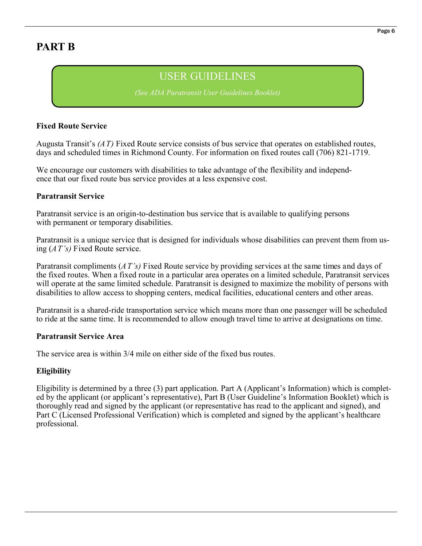## **PART B**

## USER GUIDELINES

*(See ADA Paratransit User Guidelines Booklet)*

#### **Fixed Route Service**

Augusta Transit's *(AT)* Fixed Route service consists of bus service that operates on established routes, days and scheduled times in Richmond County. For information on fixed routes call (706) 821-1719.

We encourage our customers with disabilities to take advantage of the flexibility and independence that our fixed route bus service provides at a less expensive cost.

#### **Paratransit Service**

Paratransit service is an origin-to-destination bus service that is available to qualifying persons with permanent or temporary disabilities.

Paratransit is a unique service that is designed for individuals whose disabilities can prevent them from using (*AT's)* Fixed Route service.

Paratransit compliments (*AT's)* Fixed Route service by providing services at the same times and days of the fixed routes. When a fixed route in a particular area operates on a limited schedule, Paratransit services will operate at the same limited schedule. Paratransit is designed to maximize the mobility of persons with disabilities to allow access to shopping centers, medical facilities, educational centers and other areas.

Paratransit is a shared-ride transportation service which means more than one passenger will be scheduled to ride at the same time. It is recommended to allow enough travel time to arrive at designations on time.

#### **Paratransit Service Area**

The service area is within 3/4 mile on either side of the fixed bus routes.

#### **Eligibility**

Eligibility is determined by a three (3) part application. Part A (Applicant's Information) which is completed by the applicant (or applicant's representative), Part B (User Guideline's Information Booklet) which is thoroughly read and signed by the applicant (or representative has read to the applicant and signed), and Part C (Licensed Professional Verification) which is completed and signed by the applicant's healthcare professional.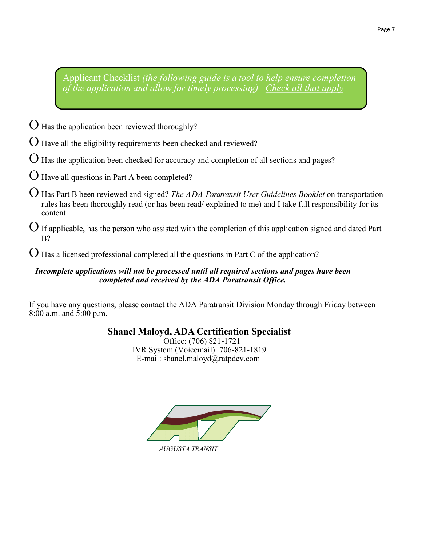Applicant Checklist *(the following guide is a tool to help ensure completion of the application and allow for timely processing) Check all that apply*

- $\Theta$  Has the application been reviewed thoroughly?
- Have all the eligibility requirements been checked and reviewed?
- $O$  Has the application been checked for accuracy and completion of all sections and pages?
- Have all questions in Part A been completed?
- Has Part B been reviewed and signed? *The ADA Paratransit User Guidelines Booklet* on transportation rules has been thoroughly read (or has been read/ explained to me) and I take full responsibility for its content
- $\bigcup$  If applicable, has the person who assisted with the completion of this application signed and dated Part B?

 $\bigcup$  Has a licensed professional completed all the questions in Part C of the application?

#### *Incomplete applications will not be processed until all required sections and pages have been completed and received by the ADA Paratransit Office.*

If you have any questions, please contact the ADA Paratransit Division Monday through Friday between 8:00 a.m. and 5:00 p.m.

### **Shanel Maloyd, ADA Certification Specialist**

 Office: (706) 821-1721 IVR System (Voicemail): 706-821-1819 E-mail: shanel.maloyd@ratpdev.com



*AUGUSTA TRANSIT*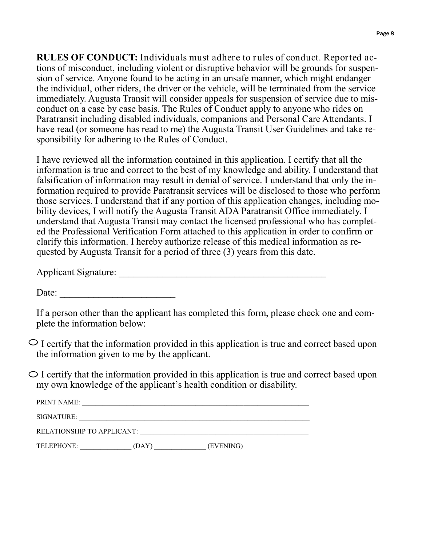**RULES OF CONDUCT:** Individuals must adhere to rules of conduct. Reported actions of misconduct, including violent or disruptive behavior will be grounds for suspension of service. Anyone found to be acting in an unsafe manner, which might endanger the individual, other riders, the driver or the vehicle, will be terminated from the service immediately. Augusta Transit will consider appeals for suspension of service due to misconduct on a case by case basis. The Rules of Conduct apply to anyone who rides on Paratransit including disabled individuals, companions and Personal Care Attendants. I have read (or someone has read to me) the Augusta Transit User Guidelines and take responsibility for adhering to the Rules of Conduct.

I have reviewed all the information contained in this application. I certify that all the information is true and correct to the best of my knowledge and ability. I understand that falsification of information may result in denial of service. I understand that only the information required to provide Paratransit services will be disclosed to those who perform those services. I understand that if any portion of this application changes, including mobility devices, I will notify the Augusta Transit ADA Paratransit Office immediately. I understand that Augusta Transit may contact the licensed professional who has completed the Professional Verification Form attached to this application in order to confirm or clarify this information. I hereby authorize release of this medical information as requested by Augusta Transit for a period of three (3) years from this date.

Applicant Signature:

Date:

If a person other than the applicant has completed this form, please check one and complete the information below:

 $\circ$  I certify that the information provided in this application is true and correct based upon the information given to me by the applicant.

 $\circ$  I certify that the information provided in this application is true and correct based upon my own knowledge of the applicant's health condition or disability.

| п.<br>$\overline{\phantom{a}}$ |  |
|--------------------------------|--|
|                                |  |

SIGNATURE: \_\_\_\_\_\_\_\_\_\_\_\_\_\_\_\_\_\_\_\_\_\_\_\_\_\_\_\_\_\_\_\_\_\_\_\_\_\_\_\_\_\_\_\_\_\_\_\_\_\_\_\_\_\_\_\_\_\_\_\_\_\_\_\_\_\_\_

RELATIONSHIP TO APPLICANT: \_\_\_\_\_\_\_\_\_\_\_\_\_\_\_\_\_\_\_\_\_\_\_\_\_\_\_\_\_\_\_\_\_\_\_\_\_\_\_\_\_\_\_\_\_\_\_\_\_

TELEPHONE: \_\_\_\_\_\_\_\_\_\_\_\_\_\_\_ (DAY) \_\_\_\_\_\_\_\_\_\_\_\_\_\_\_ (EVENING)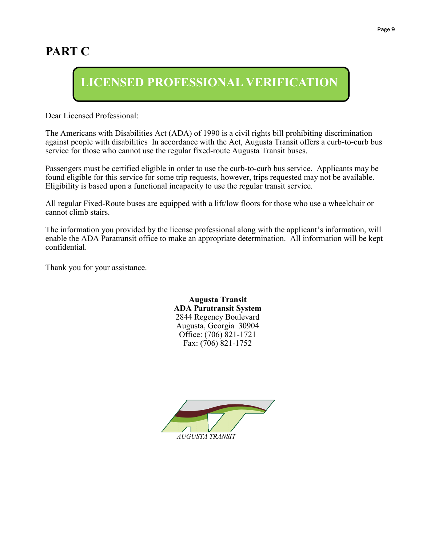## **PART C**

# **LICENSED PROFESSIONAL VERIFICATION**

Dear Licensed Professional:

The Americans with Disabilities Act (ADA) of 1990 is a civil rights bill prohibiting discrimination against people with disabilities In accordance with the Act, Augusta Transit offers a curb-to-curb bus service for those who cannot use the regular fixed-route Augusta Transit buses.

Passengers must be certified eligible in order to use the curb-to-curb bus service. Applicants may be found eligible for this service for some trip requests, however, trips requested may not be available. Eligibility is based upon a functional incapacity to use the regular transit service.

All regular Fixed-Route buses are equipped with a lift/low floors for those who use a wheelchair or cannot climb stairs.

The information you provided by the license professional along with the applicant's information, will enable the ADA Paratransit office to make an appropriate determination. All information will be kept confidential.

Thank you for your assistance.

**Augusta Transit ADA Paratransit System** 2844 Regency Boulevard Augusta, Georgia 30904 Office: (706) 821-1721 Fax: (706) 821-1752

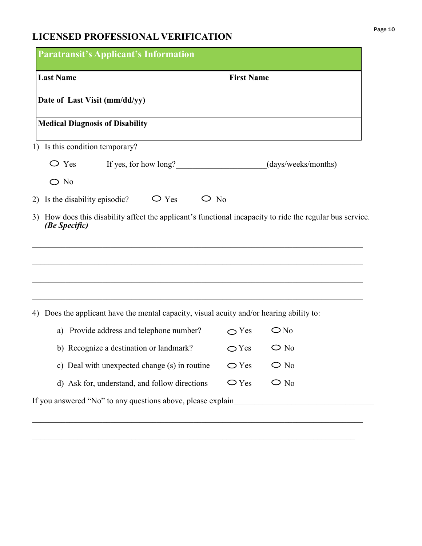## **LICENSED PROFESSIONAL VERIFICATION**

| <b>Last Name</b>                                                                                                                                                                                      | <b>First Name</b> |                     |
|-------------------------------------------------------------------------------------------------------------------------------------------------------------------------------------------------------|-------------------|---------------------|
| Date of Last Visit (mm/dd/yy)                                                                                                                                                                         |                   |                     |
| <b>Medical Diagnosis of Disability</b>                                                                                                                                                                |                   |                     |
| 1) Is this condition temporary?                                                                                                                                                                       |                   |                     |
| $\bigcirc$ Yes<br>If yes, for how long?                                                                                                                                                               |                   | (days/weeks/months) |
| $\bigcirc$ No                                                                                                                                                                                         |                   |                     |
|                                                                                                                                                                                                       |                   |                     |
| $\bigcirc$ Yes<br>$\bigcirc$ N <sub>0</sub><br>Is the disability episodic?<br>How does this disability affect the applicant's functional incapacity to ride the regular bus service.<br>(Be Specific) |                   |                     |
|                                                                                                                                                                                                       |                   |                     |
| Does the applicant have the mental capacity, visual acuity and/or hearing ability to:                                                                                                                 |                   |                     |
| 2)<br>3)<br>4)<br>Provide address and telephone number?<br>a)                                                                                                                                         | $\bigcirc$ Yes    | $\bigcirc$ No       |
| b) Recognize a destination or landmark?                                                                                                                                                               | $\bigcirc$ Yes    | $\bigcirc$ No       |
| c) Deal with unexpected change (s) in routine                                                                                                                                                         | $\bigcirc$ Yes    | $\bigcirc$ No       |